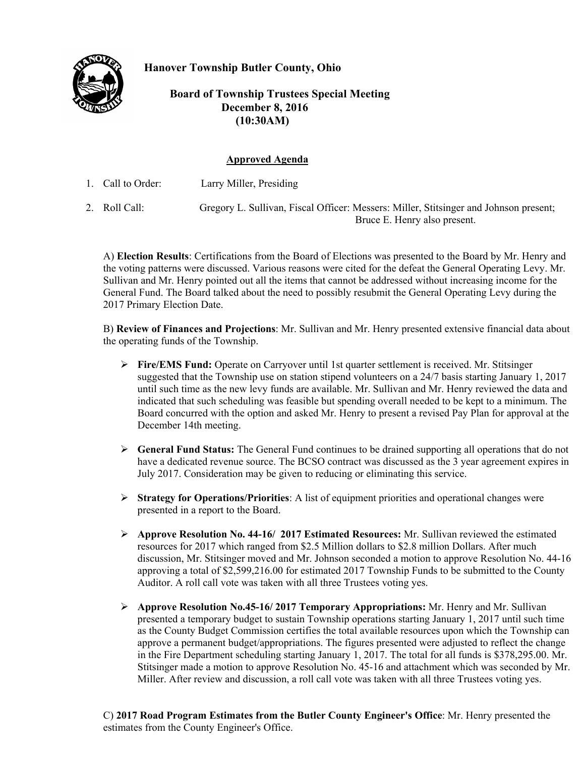



## **Board of Township Trustees Special Meeting December 8, 2016 (10:30AM)**

## **Approved Agenda**

- 1. Call to Order: Larry Miller, Presiding
- 2. Roll Call: Gregory L. Sullivan, Fiscal Officer: Messers: Miller, Stitsinger and Johnson present; Bruce E. Henry also present.

A) **Election Results**: Certifications from the Board of Elections was presented to the Board by Mr. Henry and the voting patterns were discussed. Various reasons were cited for the defeat the General Operating Levy. Mr. Sullivan and Mr. Henry pointed out all the items that cannot be addressed without increasing income for the General Fund. The Board talked about the need to possibly resubmit the General Operating Levy during the 2017 Primary Election Date.

B) **Review of Finances and Projections**: Mr. Sullivan and Mr. Henry presented extensive financial data about the operating funds of the Township.

- **Fire/EMS Fund:** Operate on Carryover until 1st quarter settlement is received. Mr. Stitsinger suggested that the Township use on station stipend volunteers on a 24/7 basis starting January 1, 2017 until such time as the new levy funds are available. Mr. Sullivan and Mr. Henry reviewed the data and indicated that such scheduling was feasible but spending overall needed to be kept to a minimum. The Board concurred with the option and asked Mr. Henry to present a revised Pay Plan for approval at the December 14th meeting.
- **General Fund Status:** The General Fund continues to be drained supporting all operations that do not have a dedicated revenue source. The BCSO contract was discussed as the 3 year agreement expires in July 2017. Consideration may be given to reducing or eliminating this service.
- **Strategy for Operations/Priorities**: A list of equipment priorities and operational changes were presented in a report to the Board.
- **Approve Resolution No. 44-16/ 2017 Estimated Resources:** Mr. Sullivan reviewed the estimated resources for 2017 which ranged from \$2.5 Million dollars to \$2.8 million Dollars. After much discussion, Mr. Stitsinger moved and Mr. Johnson seconded a motion to approve Resolution No. 44-16 approving a total of \$2,599,216.00 for estimated 2017 Township Funds to be submitted to the County Auditor. A roll call vote was taken with all three Trustees voting yes.
- **Approve Resolution No.45-16/ 2017 Temporary Appropriations:** Mr. Henry and Mr. Sullivan presented a temporary budget to sustain Township operations starting January 1, 2017 until such time as the County Budget Commission certifies the total available resources upon which the Township can approve a permanent budget/appropriations. The figures presented were adjusted to reflect the change in the Fire Department scheduling starting January 1, 2017. The total for all funds is \$378,295.00. Mr. Stitsinger made a motion to approve Resolution No. 45-16 and attachment which was seconded by Mr. Miller. After review and discussion, a roll call vote was taken with all three Trustees voting yes.